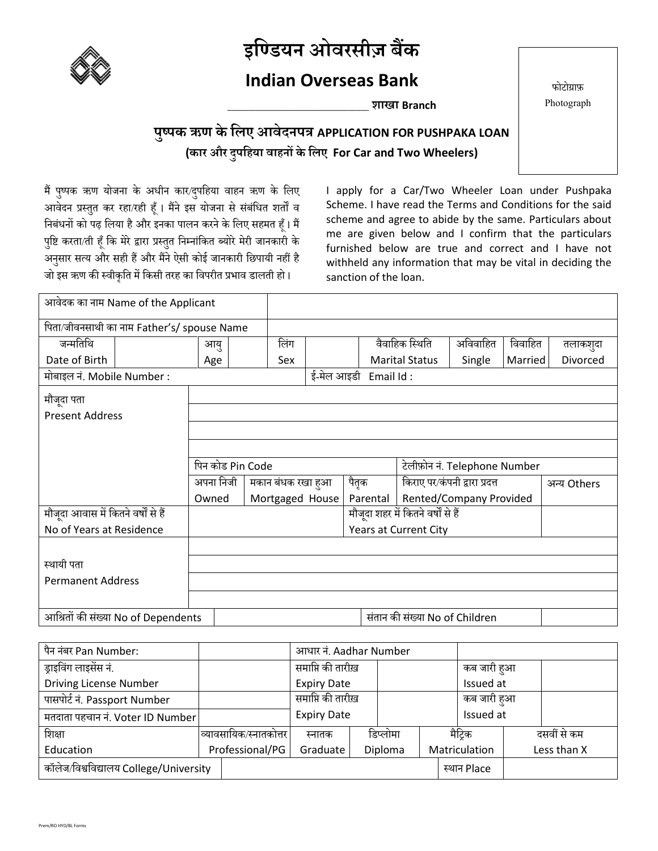

### **इण्डियन ओवरसीज़ बैंक**

#### **Indian Overseas Bank**

**\_\_\_\_\_\_\_\_\_\_\_\_\_\_\_\_\_\_\_\_\_\_\_\_\_\_\_\_\_\_\_\_\_\_ शाखा Branch**

फोटोग्राफ़ Photograph

#### **पुष्पक ऋण के ण्िए आवेदनपत्र APPLICATION FOR PUSHPAKA LOAN (कार और दुपण्िया वािनों केण्िए For Car and Two Wheelers)**

मैं पुष्पक ऋण योजना के अधीन कार/दुपहिया वाहन ऋण के लिए आवेदन प्रस्तुत कर रहा/रही हूँ। मैंने इस योजना से संबंधित शर्तों व निबंधनों को पढ़ लिया है और इनका पालन करने के लिए सहमत हूँ। मैं पुष्टि करता/ती हूँ कि मेरे द्वारा प्रस्तुत निम्नांकित ब्योरे मेरी जानकारी के अनुसार सत्य और सही हैं और मैंने ऐसी कोई जानकारी छिपायी नहीं है जो इस ऋण की स्वीकृति में किसी तरह का विपरीत प्रभाव डालती हो।

I apply for a Car/Two Wheeler Loan under Pushpaka Scheme. I have read the Terms and Conditions for the said scheme and agree to abide by the same. Particulars about me are given below and I confirm that the particulars furnished below are true and correct and I have not withheld any information that may be vital in deciding the sanction of the loan.

| आवेदक का नाम Name of the Applicant         |  |           |                   |  |                                |                                    |                               |         |             |
|--------------------------------------------|--|-----------|-------------------|--|--------------------------------|------------------------------------|-------------------------------|---------|-------------|
| पिता/जीवनसाथी का नाम Father's/ spouse Name |  |           |                   |  |                                |                                    |                               |         |             |
| जन्मतिथि                                   |  | आयु       | लिंग              |  |                                | वैवाहिक स्थिति                     | अविवाहित                      | विवाहित | तलाकशुदा    |
| Date of Birth                              |  | Age       | Sex               |  |                                | <b>Marital Status</b>              | Single                        | Married | Divorced    |
| मोबाइल नं. Mobile Number :                 |  |           |                   |  | ई-मेल आइडी Email Id :          |                                    |                               |         |             |
| मौजूदा पता                                 |  |           |                   |  |                                |                                    |                               |         |             |
| <b>Present Address</b>                     |  |           |                   |  |                                |                                    |                               |         |             |
|                                            |  |           |                   |  |                                |                                    |                               |         |             |
|                                            |  |           |                   |  |                                |                                    |                               |         |             |
| पिन कोड Pin Code                           |  |           |                   |  |                                |                                    | टेलीफ़ोन नं. Telephone Number |         |             |
|                                            |  | अपना निजी | मकान बंधक रखा हुआ |  | पैतृक                          |                                    | किराए पर⁄कंपनी द्वारा प्रदत्त |         | अन्य Others |
|                                            |  | Owned     | Mortgaged House   |  | Parental                       |                                    | Rented/Company Provided       |         |             |
| मौजूदा आवास में कितने वर्षों से हैं        |  |           |                   |  |                                | मौजूदा शहर में कितने वर्षों से हैं |                               |         |             |
| No of Years at Residence                   |  |           |                   |  |                                | Years at Current City              |                               |         |             |
|                                            |  |           |                   |  |                                |                                    |                               |         |             |
| स्थायी पता                                 |  |           |                   |  |                                |                                    |                               |         |             |
| <b>Permanent Address</b>                   |  |           |                   |  |                                |                                    |                               |         |             |
|                                            |  |           |                   |  |                                |                                    |                               |         |             |
| आश्रितों की संख्या No of Dependents        |  |           |                   |  | संतान की संख्या No of Children |                                    |                               |         |             |

| पैन नंबर Pan Number:                   |                        | आधार नं. Aadhar Number |  |           |             |               |  |             |
|----------------------------------------|------------------------|------------------------|--|-----------|-------------|---------------|--|-------------|
| ड्राइविंग लाइसेंस नं.                  |                        | समाप्ति की तारीख़      |  |           | कब जारी हुआ |               |  |             |
| Driving License Number                 |                        | <b>Expiry Date</b>     |  | Issued at |             |               |  |             |
| पासपोर्ट नं. Passport Number           |                        | समाप्ति की तारीख़      |  |           | कब जारी हुआ |               |  |             |
| मतदाता पहचान नं. Voter ID Number       |                        | <b>Expiry Date</b>     |  | Issued at |             |               |  |             |
| शिक्षा                                 | व्यावसायिक/स्नातकोत्तर | स्नातक                 |  | डिप्लोमा  |             | मैटिक         |  | दसवीं से कम |
| Education                              | Professional/PG        |                        |  | Diploma   |             | Matriculation |  | Less than X |
| कॉलेज/विश्वविद्यालय College/University |                        |                        |  |           |             | स्थान Place   |  |             |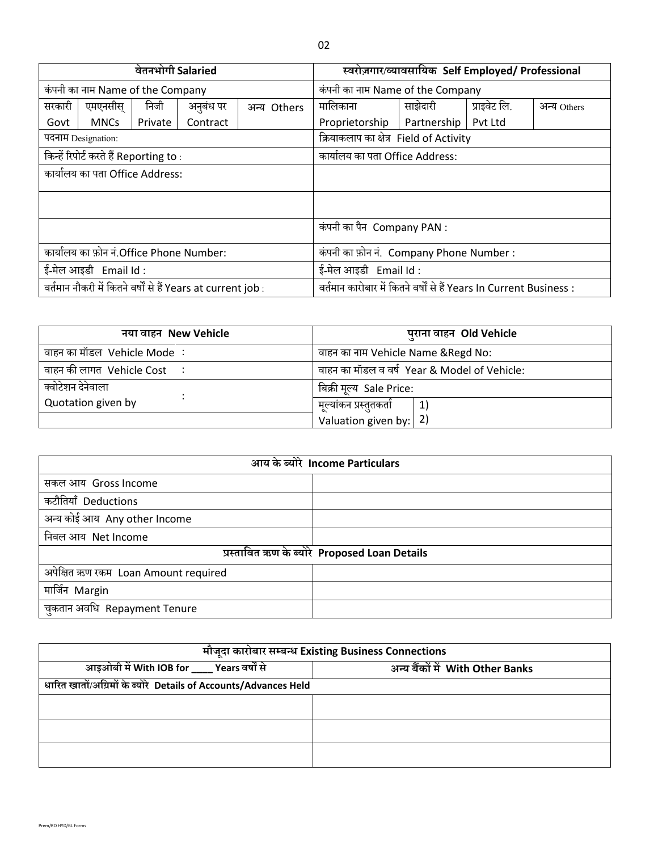| वेतनभोगी Salaried                                            |                                        |         |           |                      | स्वरोज़गार/व्यावसायिक Self Employed/ Professional                   |             |              |             |  |
|--------------------------------------------------------------|----------------------------------------|---------|-----------|----------------------|---------------------------------------------------------------------|-------------|--------------|-------------|--|
| कंपनी का नाम Name of the Company                             |                                        |         |           |                      | कंपनी का नाम Name of the Company                                    |             |              |             |  |
| सरकारी                                                       | एमएनसीस्                               | निजी    | अनुबंध पर | Others<br>अन्य       | मालिकाना                                                            | साझेदारी    | प्राइवेट लि. | अन्य Others |  |
| Govt                                                         | <b>MNCs</b>                            | Private | Contract  |                      | Proprietorship                                                      | Partnership | Pvt Ltd      |             |  |
| पदनाम Designation:                                           |                                        |         |           |                      | क्रियाकलाप का क्षेत्र Field of Activity                             |             |              |             |  |
|                                                              | किन्हें रिपोर्ट करते हैं Reporting to: |         |           |                      | कार्यालय का पता Office Address:                                     |             |              |             |  |
| कार्यालय का पता Office Address:                              |                                        |         |           |                      |                                                                     |             |              |             |  |
|                                                              |                                        |         |           |                      |                                                                     |             |              |             |  |
|                                                              |                                        |         |           |                      | कंपनी का पैन Company PAN :                                          |             |              |             |  |
| कार्यालय का फ़ोन नं.Office Phone Number:                     |                                        |         |           |                      | कंपनी का फ़ोन नं. Company Phone Number:                             |             |              |             |  |
| ई-मेल आइडी Email Id:                                         |                                        |         |           | ई-मेल आइडी Email Id: |                                                                     |             |              |             |  |
| वर्तमान नौकरी में कितने वर्षों से हैं Years at current job : |                                        |         |           |                      | वर्तमान कारोबार में कितने वर्षों से हैं Years In Current Business : |             |              |             |  |

| नया वाहन New Vehicle             | पुराना वाहन Old Vehicle                      |
|----------------------------------|----------------------------------------------|
| वाहन का मॉडल  Vehicle Mode ∶     | वाहन का नाम Vehicle Name & Regd No:          |
| वाहन की लागत  Vehicle Cost     : | वाहन का मॉडल व वर्ष Year & Model of Vehicle: |
| क्वोटेशन देनेवाला                | बिक्री मूल्य  Sale Price:                    |
| Quotation given by               | , मूल्यांकन प्रस्तुतकर्ता<br>$\vert$ 1)      |
|                                  | Valuation given by: $ 2$ )                   |

| आय के ब्योरे Income Particulars      |                                               |  |  |  |
|--------------------------------------|-----------------------------------------------|--|--|--|
| सकल आय Gross Income                  |                                               |  |  |  |
| कटौतियाँ Deductions                  |                                               |  |  |  |
| अन्य कोई आय Any other Income         |                                               |  |  |  |
| निवल आय Net Income                   |                                               |  |  |  |
|                                      | प्रस्तावित ऋण के ब्योरे Proposed Loan Details |  |  |  |
| अपेक्षित ऋण रकम Loan Amount required |                                               |  |  |  |
| मार्जिन Margin                       |                                               |  |  |  |
| चुकतान अवधि Repayment Tenure         |                                               |  |  |  |

| मौजूदा कारोबार सम्बन्ध Existing Business Connections             |                                  |  |  |  |
|------------------------------------------------------------------|----------------------------------|--|--|--|
| आइओबी में With IOB for ____ Years वर्षों से                      | अन्य बैंकों में With Other Banks |  |  |  |
| धारित खातों/अग्रिमों के ब्योरे Details of Accounts/Advances Held |                                  |  |  |  |
|                                                                  |                                  |  |  |  |
|                                                                  |                                  |  |  |  |
|                                                                  |                                  |  |  |  |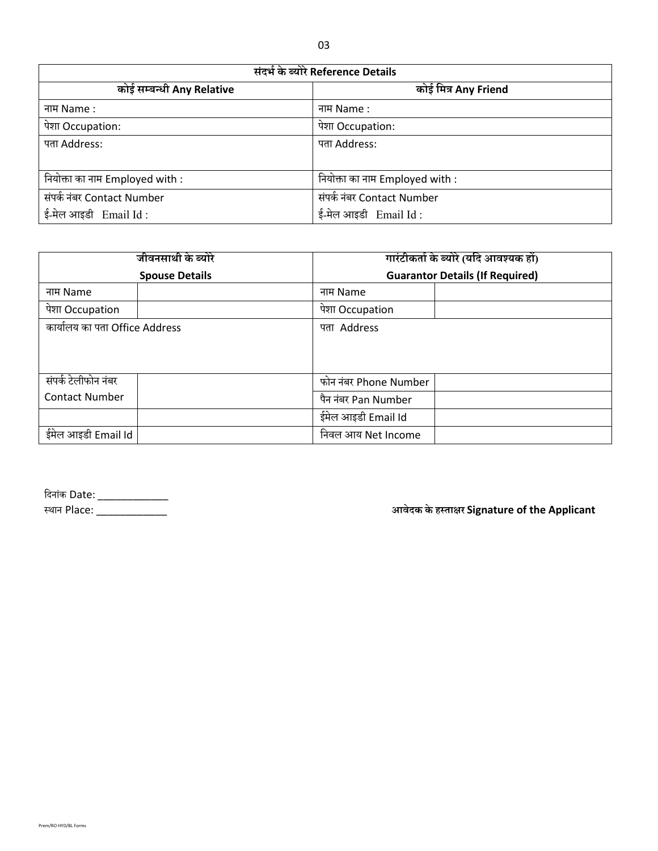| संदर्भ के ब्योरे Reference Details |                                 |  |  |  |
|------------------------------------|---------------------------------|--|--|--|
| कोई सम्बन्धी Any Relative          | कोई मित्र Any Friend            |  |  |  |
| नाम Name :                         | नाम Name :                      |  |  |  |
| पेशा Occupation:                   | पेशा Occupation:                |  |  |  |
| पता Address:                       | पता Address:                    |  |  |  |
|                                    |                                 |  |  |  |
| नियोक्ता का नाम Employed with :    | नियोक्ता का नाम Employed with : |  |  |  |
| संपर्क नंबर Contact Number         | संपर्क नंबर Contact Number      |  |  |  |
| ई-मेल आइडी Email Id:               | ई-मेल आइडी Email Id:            |  |  |  |

| जीवनसाथी के ब्योरे             | गारंटीकर्ता के ब्योरे (यदि आवश्यक हों) |  |  |  |  |
|--------------------------------|----------------------------------------|--|--|--|--|
| <b>Spouse Details</b>          | <b>Guarantor Details (If Required)</b> |  |  |  |  |
| नाम Name                       | नाम Name                               |  |  |  |  |
| पेशा Occupation                | पेशा Occupation                        |  |  |  |  |
| कार्यालय का पता Office Address | पता Address                            |  |  |  |  |
|                                |                                        |  |  |  |  |
| संपर्क टेलीफोन नंबर            | फोन नंबर Phone Number                  |  |  |  |  |
| <b>Contact Number</b>          | पैन नंबर Pan Number                    |  |  |  |  |
|                                | ईमेल आइडी Email Id                     |  |  |  |  |
| ईमेल आइडी Email Id             | निवल आय Net Income                     |  |  |  |  |

| दिनांक Date: |  |
|--------------|--|
| स्थान Place: |  |

स्थान Place: \_\_\_\_\_\_\_\_\_\_\_\_ **आवेदक के िस्ताक्षर Signature of the Applicant**